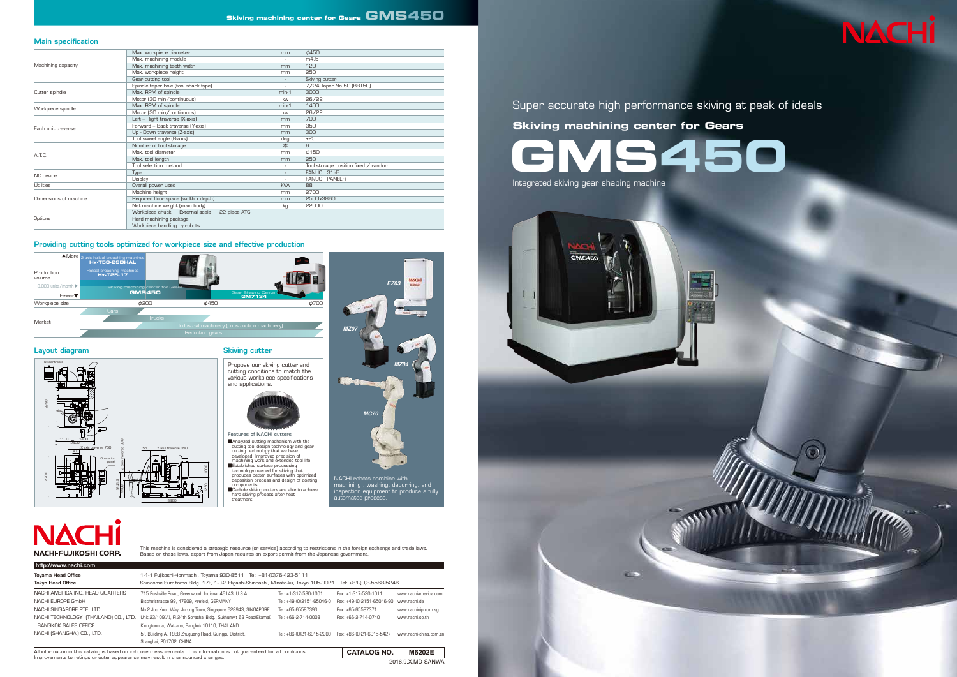2016.9.X.MD-SANWA

**http://www.nachi.com**

2700<br>2700

This machine is considered a strategic resource (or service) according to restrictions in the foreign exchange and trade laws.<br>Based on these laws, export from Japan requires an export permit from the Japanese government.

2500 1100 <u>|</u> 1400

 $P450$ 

| Machining capacity    | Max. workpiece diameter                        | mm                       | 0450                                 |  |  |
|-----------------------|------------------------------------------------|--------------------------|--------------------------------------|--|--|
|                       | Max. machining module                          |                          | m4.5                                 |  |  |
|                       | Max. machining teeth width                     | mm                       | 120                                  |  |  |
|                       | Max. workpiece height                          | mm                       | 250                                  |  |  |
|                       | Gear cutting tool                              | $\overline{\phantom{a}}$ | Skiving cutter                       |  |  |
| Cutter spindle        | Spindle taper hole (tool shank type)           | $\sim$                   | 7/24 Taper No.50 (BBT50)             |  |  |
|                       | Max. RPM of spindle                            | $min-1$                  | 3000                                 |  |  |
|                       | Motor (30 min/continuous)                      | kw                       | 26/22                                |  |  |
| Workpiece spindle     | Max. RPM of spindle                            | $min-1$                  | 1400                                 |  |  |
|                       | Motor (30 min/continuous)                      | kw                       | 26/22                                |  |  |
| Each unit traverse    | Left - Right traverse (X-axis)                 | mm                       | 700                                  |  |  |
|                       | Forward - Back traverse (Y-axis)               | mm                       | 350                                  |  |  |
|                       | Up - Down traverse (Z-axis)                    | mm                       | 300                                  |  |  |
|                       | Tool swivel angle (B-axis)                     | deg                      | ±25                                  |  |  |
| A.T.C.                | Number of tool storage                         | 本                        | 6                                    |  |  |
|                       | Max. tool diameter                             | mm                       | #150                                 |  |  |
|                       | Max. tool length                               | mm                       | 250                                  |  |  |
|                       | Tool selection method                          | $\sim$                   | Tool storage position fixed / random |  |  |
| NC device             | Type                                           | $\overline{\phantom{a}}$ | FANUC 31i-B                          |  |  |
|                       | <b>Display</b>                                 | $\sim$                   | FANUC PANEL-i                        |  |  |
| Utilities             | Overall power used                             | kVA                      | 88                                   |  |  |
| Dimensions of machine | Machine height                                 | mm                       | 2700                                 |  |  |
|                       | Required floor space (width x depth)           | mm                       | 2500×3860                            |  |  |
|                       | Net machine weight (main body)                 | kg                       | 22000                                |  |  |
| Options               | Workpiece chuck External scale<br>22 piece ATC |                          |                                      |  |  |
|                       | Hard machining package                         |                          |                                      |  |  |
|                       | Workpiece handling by robots                   |                          |                                      |  |  |
|                       |                                                |                          |                                      |  |  |

#### Main specification

|                                                                                                                           |                                       | <b>CATALOG NO.</b>        | M6202E                   |  |  |
|---------------------------------------------------------------------------------------------------------------------------|---------------------------------------|---------------------------|--------------------------|--|--|
| All information in this catalog is based on in-house measurements. This information is not guaranteed for all conditions. |                                       |                           |                          |  |  |
| Shanghai, 201702, CHINA                                                                                                   |                                       |                           |                          |  |  |
| 5F, Building A, 1988 Zhuguang Road, Quingpu District,                                                                     |                                       | Fax: +86-(0)21-6915-5427  | www.nachi-china.com.cn   |  |  |
| Klongtonnua, Wattana, Bangkok 10110, THAILAND                                                                             |                                       |                           |                          |  |  |
| Unit 23/109(A), Fl.24th Sorachai Bldg., Sukhumvit 63 Road(Ekamai),                                                        | Tel: +66-2-714-0008                   | Fax: +66-2-714-0740       | www.nachi.co.th          |  |  |
| No.2 Joo Koon Way, Jurong Town, Singapore 628943, SINGAPORE                                                               | Tel: +65-65587393                     | Fax: +65-65587371         | www.nachinip.com.sg      |  |  |
| Bischofstrasse 99, 47809, Krefeld, GERMANY                                                                                | Tel: +49-(0)2151-65046-0              | Fax: +49-(0)2151-65046-90 | www.nachi.de             |  |  |
| 715 Pushville Road, Greenwood, Indiana, 46143, U.S.A.                                                                     | Tel: +1-317-530-1001                  | Fax: +1-317-530-1011      | www.nachiamerica.com     |  |  |
| Shiodome Sumitomo Bldg. 17F, 1-9-2 Higashi-Shinbashi, Minato-ku, Tokyo 105-0021<br>Tel: +81-0013-5568-5246                |                                       |                           |                          |  |  |
| 1-1-1 Fujikoshi-Honmachi, Toyama 930-8511 Tel: +81-(0)76-423-5111<br><b>Toyama Head Office</b>                            |                                       |                           |                          |  |  |
|                                                                                                                           | NACHI TECHNOLOGY (THAILAND) CO., LTD. |                           | Tel: +86-(0)21-6915-2200 |  |  |



#### Providing cutting tools optimized for workpiece size and effective production



|                                                                                             | <b>Features of NACHI cutters</b>                                                                                                                                                                                                                                                                                                                                                                                                                                              |
|---------------------------------------------------------------------------------------------|-------------------------------------------------------------------------------------------------------------------------------------------------------------------------------------------------------------------------------------------------------------------------------------------------------------------------------------------------------------------------------------------------------------------------------------------------------------------------------|
| X axis traverse 700<br>Y axis traverse 350<br>550<br>Operation<br>panel<br>Б<br>641<br>3860 | Analyzed cutting mechanism with the<br>cutting tool design technology and gear<br>cutting technology that we have<br>developed. Improved precision of<br>machining work and extended tool life.<br>Established surface processing<br>technology needed for skiving that<br>produces better surfaces with optimized<br>deposition process and design of coating<br>components.<br>Carbide skiving cutters are able to achieve<br>hard skiving process after heat<br>treatment. |
|                                                                                             |                                                                                                                                                                                                                                                                                                                                                                                                                                                                               |

# **NACH NACHI-FUJIKOSHI CORP.**

NACHI robots combine with machining , washing, deburring, and inspection equipment to produce a fully

automated process.

*MC70*

*MZ04*

NACH

### **Skiving machining center for Gears GMS450**

# Super accurate high performance skiving at peak of ideals **GMS450 Skiving machining center for Gears**